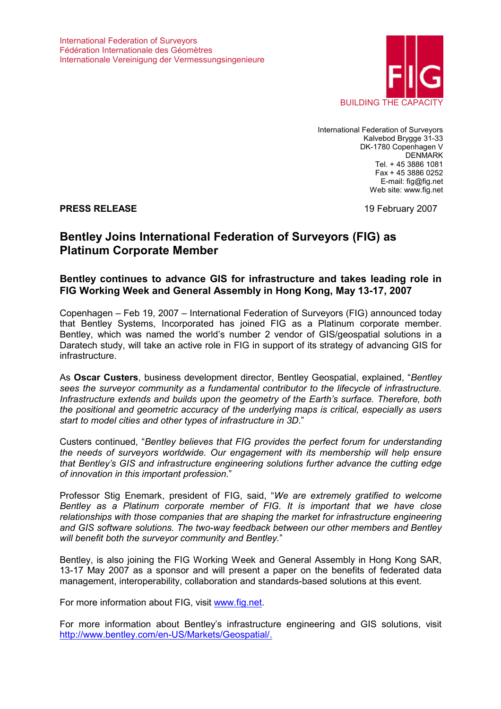

International Federation of Surveyors Kalvebod Brygge 31-33 DK-1780 Copenhagen V DENMARK Tel. + 45 3886 1081 Fax + 45 3886 0252 E-mail: fig@fig.net Web site: www.fig.net

**PRESS RELEASE** 19 February 2007

# **Bentley Joins International Federation of Surveyors (FIG) as Platinum Corporate Member**

## **Bentley continues to advance GIS for infrastructure and takes leading role in FIG Working Week and General Assembly in Hong Kong, May 13-17, 2007**

Copenhagen – Feb 19, 2007 – International Federation of Surveyors (FIG) announced today that Bentley Systems, Incorporated has joined FIG as a Platinum corporate member. Bentley, which was named the world's number 2 vendor of GIS/geospatial solutions in a Daratech study, will take an active role in FIG in support of its strategy of advancing GIS for infrastructure.

As **Oscar Custers**, business development director, Bentley Geospatial, explained, "*Bentley sees the surveyor community as a fundamental contributor to the lifecycle of infrastructure. Infrastructure extends and builds upon the geometry of the Earth's surface. Therefore, both the positional and geometric accuracy of the underlying maps is critical, especially as users start to model cities and other types of infrastructure in 3D*."

Custers continued, "*Bentley believes that FIG provides the perfect forum for understanding the needs of surveyors worldwide. Our engagement with its membership will help ensure that Bentley's GIS and infrastructure engineering solutions further advance the cutting edge of innovation in this important profession*."

Professor Stig Enemark, president of FIG, said, "*We are extremely gratified to welcome Bentley as a Platinum corporate member of FIG. It is important that we have close relationships with those companies that are shaping the market for infrastructure engineering and GIS software solutions. The two-way feedback between our other members and Bentley will benefit both the surveyor community and Bentley.*"

Bentley, is also joining the FIG Working Week and General Assembly in Hong Kong SAR, 13-17 May 2007 as a sponsor and will present a paper on the benefits of federated data management, interoperability, collaboration and standards-based solutions at this event.

For more information about FIG, visit www.fig.net.

For more information about Bentley's infrastructure engineering and GIS solutions, visit http://www.bentley.com/en-US/Markets/Geospatial/.